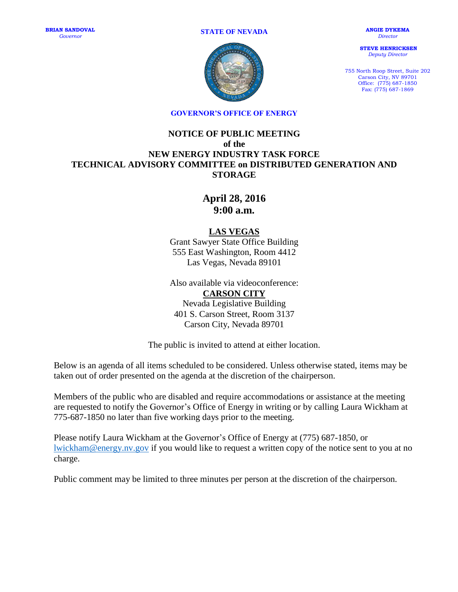**STATE OF NEVADA**

**BRIAN SANDOVAL** *Governor*

**ANGIE DYKEMA** *Director*

**STEVE HENRICKSEN** *Deputy Director*

755 North Roop Street, Suite 202 Carson City, NV 89701 Office: (775) 687-1850 Fax: (775) 687-1869



**GOVERNOR'S OFFICE OF ENERGY**

## **NOTICE OF PUBLIC MEETING of the NEW ENERGY INDUSTRY TASK FORCE TECHNICAL ADVISORY COMMITTEE on DISTRIBUTED GENERATION AND STORAGE**

**April 28, 2016 9:00 a.m.**

## **LAS VEGAS**

Grant Sawyer State Office Building 555 East Washington, Room 4412 Las Vegas, Nevada 89101

Also available via videoconference: **CARSON CITY** Nevada Legislative Building 401 S. Carson Street, Room 3137 Carson City, Nevada 89701

The public is invited to attend at either location.

Below is an agenda of all items scheduled to be considered. Unless otherwise stated, items may be taken out of order presented on the agenda at the discretion of the chairperson.

Members of the public who are disabled and require accommodations or assistance at the meeting are requested to notify the Governor's Office of Energy in writing or by calling Laura Wickham at 775-687-1850 no later than five working days prior to the meeting.

Please notify Laura Wickham at the Governor's Office of Energy at (775) 687-1850, or [lwickham@energy.nv.gov](mailto:lwickham@energy.nv.gov) if you would like to request a written copy of the notice sent to you at no charge.

Public comment may be limited to three minutes per person at the discretion of the chairperson.